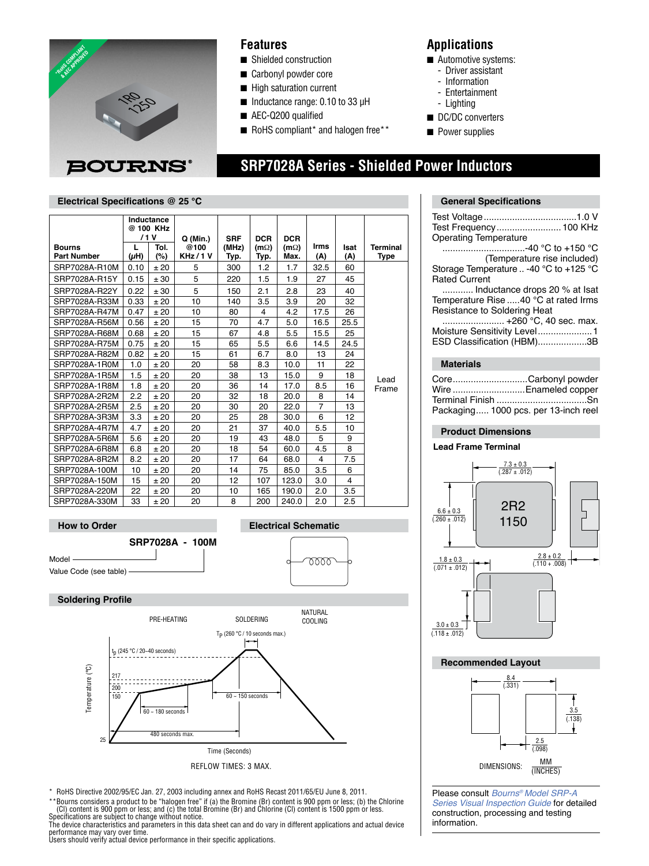

### **Features**

- Shielded construction
- Carbonyl powder core
- $\blacksquare$  High saturation current
- $\blacksquare$  Inductance range: 0.10 to 33  $\mu$ H
- AEC-Q200 qualified
- $\blacksquare$  RoHS compliant\* and halogen free\*\*

## **Applications**

- $\blacksquare$  Automotive systems:
	- Driver assistant
	- Information
	- Entertainment
	- Lighting
- DC/DC converters
- **n** Power supplies

|                                     | Inductance<br>@ 100 KHz<br>/1V |             | $Q$ (Min.)        | <b>SRF</b>    | <b>DCR</b>          | <b>DCR</b>          |             |             |                         |
|-------------------------------------|--------------------------------|-------------|-------------------|---------------|---------------------|---------------------|-------------|-------------|-------------------------|
| <b>Bourns</b><br><b>Part Number</b> | L<br>$(\mu H)$                 | Tol.<br>(%) | @100<br>KHz / 1 V | (MHz)<br>Typ. | $(m\Omega)$<br>Typ. | $(m\Omega)$<br>Max. | Irms<br>(A) | Isat<br>(A) | Terminal<br><b>Type</b> |
| SRP7028A-R10M                       | 0.10                           | ±20         | 5                 | 300           | 1.2                 | 1.7                 | 32.5        | 60          |                         |
| SRP7028A-R15Y                       | 0.15                           | ± 30        | 5                 | 220           | 1.5                 | 1.9                 | 27          | 45          | Lead<br>Frame           |
| SRP7028A-R22Y                       | 0.22                           | ± 30        | 5                 | 150           | 2.1                 | 2.8                 | 23          | 40          |                         |
| SRP7028A-R33M                       | 0.33                           | ±20         | 10                | 140           | 3.5                 | 3.9                 | 20          | 32          |                         |
| SRP7028A-R47M                       | 0.47                           | ±20         | 10                | 80            | 4                   | 4.2                 | 17.5        | 26          |                         |
| SRP7028A-R56M                       | 0.56                           | ±20         | 15                | 70            | 4.7                 | 5.0                 | 16.5        | 25.5        |                         |
| SRP7028A-R68M                       | 0.68                           | ±20         | 15                | 67            | 4.8                 | 5.5                 | 15.5        | 25          |                         |
| SRP7028A-R75M                       | 0.75                           | ±20         | 15                | 65            | 5.5                 | 6.6                 | 14.5        | 24.5        |                         |
| SRP7028A-R82M                       | 0.82                           | ±20         | 15                | 61            | 6.7                 | 8.0                 | 13          | 24          |                         |
| SRP7028A-1R0M                       | 1.0                            | ±20         | 20                | 58            | 8.3                 | 10.0                | 11          | 22          |                         |
| SRP7028A-1R5M                       | 1.5                            | ±20         | 20                | 38            | 13                  | 15.0                | 9           | 18          |                         |
| SRP7028A-1R8M                       | 1.8                            | ±20         | 20                | 36            | 14                  | 17.0                | 8.5         | 16          |                         |
| SRP7028A-2R2M                       | 2.2                            | ±20         | 20                | 32            | 18                  | 20.0                | 8           | 14          |                         |
| SRP7028A-2R5M                       | 2.5                            | ±20         | 20                | 30            | 20                  | 22.0                | 7           | 13          |                         |
| SRP7028A-3R3M                       | 3.3                            | ±20         | 20                | 25            | 28                  | 30.0                | 6           | 12          |                         |
| SRP7028A-4R7M                       | 4.7                            | ±20         | 20                | 21            | 37                  | 40.0                | 5.5         | 10          |                         |
| SRP7028A-5R6M                       | 5.6                            | ±20         | 20                | 19            | 43                  | 48.0                | 5           | 9           |                         |
| SRP7028A-6R8M                       | 6.8                            | ±20         | 20                | 18            | 54                  | 60.0                | 4.5         | 8           |                         |
| SRP7028A-8R2M                       | 8.2                            | ±20         | 20                | 17            | 64                  | 68.0                | 4           | 7.5         |                         |
| SRP7028A-100M                       | 10                             | ±20         | 20                | 14            | 75                  | 85.0                | 3.5         | 6           |                         |
| SRP7028A-150M                       | 15                             | ±20         | 20                | 12            | 107                 | 123.0               | 3.0         | 4           |                         |
| SRP7028A-220M                       | 22                             | ±20         | 20                | 10            | 165                 | 190.0               | 2.0         | 3.5         |                         |
| SRP7028A-330M                       | 33                             | ±20         | 20                | 8             | 200                 | 240.0               | 2.0         | 2.5         |                         |





 $\frac{2.8 \pm 0.2}{(.110 \pm .008)}$ 

Please consult *Bourns® Model SRP-A Series Visual Inspection Guide* for detailed [construction, processing and testing](http://www.bourns.com/data/global/pdfs/Bourns_SRP-A_Series_Visual_Inspection_Guide.pdf)  information.

\*\*Bourns considers a product to be "halogen free" if (a) the Bromine (Br) content is 900 ppm or less; (b) the Chlorine<br>(Cl) content is 900 ppm or less; and (c) the total Bromine (Br) and Chlorine (Cl) content is 1500 ppm o performance may vary over time.

\* RoHS Directive 2002/95/EC Jan. 27, 2003 including annex and RoHS Recast 2011/65/EU June 8, 2011.

Time (Seconds) REFLOW TIMES: 3 MAX.

Users should verify actual device performance in their specific applications.

 $60 - 180$  seconds

480 seconds max.

25

 **SRP7028A Series - Shielded Power Inductors**

### **Electrical Specifications @ 25 °C General Specifications**

| Test Frequency  100 KHz                |  |
|----------------------------------------|--|
| <b>Operating Temperature</b>           |  |
| -40 °C to +150 °C                      |  |
| (Temperature rise included)            |  |
| Storage Temperature  -40 °C to +125 °C |  |
| <b>Rated Current</b>                   |  |
| Inductance drops 20 % at lsat          |  |
| Temperature Rise 40 °C at rated Irms   |  |
| Resistance to Soldering Heat           |  |
| +260 °C, 40 sec. max.                  |  |
| Moisture Sensitivity Level1            |  |
| ESD Classification (HBM)3B             |  |
|                                        |  |
| <b>Materials</b>                       |  |
|                                        |  |
| CoreCarbonyl powder                    |  |
| Wire  Enameled copper                  |  |
|                                        |  |
| Packaging 1000 pcs. per 13-inch reel   |  |
|                                        |  |
| <b>Product Dimensions</b>              |  |
| <b>Lead Frame Terminal</b>             |  |
|                                        |  |
| $\frac{7.3 \pm 0.3}{(.287 \pm .012)}$  |  |
|                                        |  |
|                                        |  |
|                                        |  |
| 2R2<br>$66 + 0.3$                      |  |



 $3.0 \pm 0.3$  $\frac{0.6 \pm 0.6}{(.118 \pm .012)}$ 

 $1.8 \pm 0.3$  $(0.071 \pm 0.012)$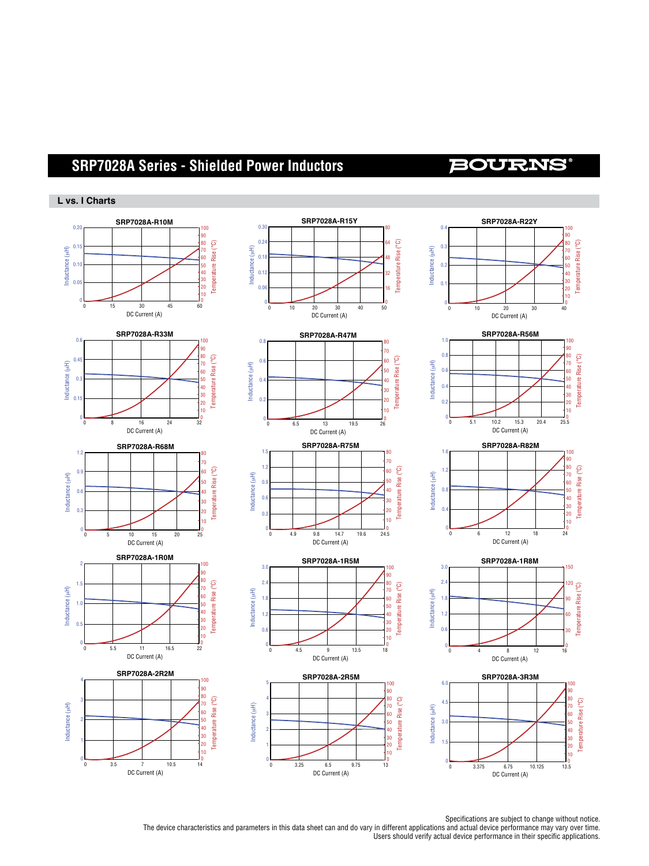# **SRF0504 SRP7028ASeries Seri - Shielded Line Filter Power Inductors**

# **BOURNS**

### **L vs. I Charts**



Specifications are subject to change without notice.

-opecinications are subject to change without houce.<br>.The device characteristics and parameters in this data sheet can and do vary in different applications and actual device performance may vary over time. Users should verify actual device performance in their specific applications. tic<br>C ne<br>I en<br>10 Iti<br>Va it<br>ve<br>ic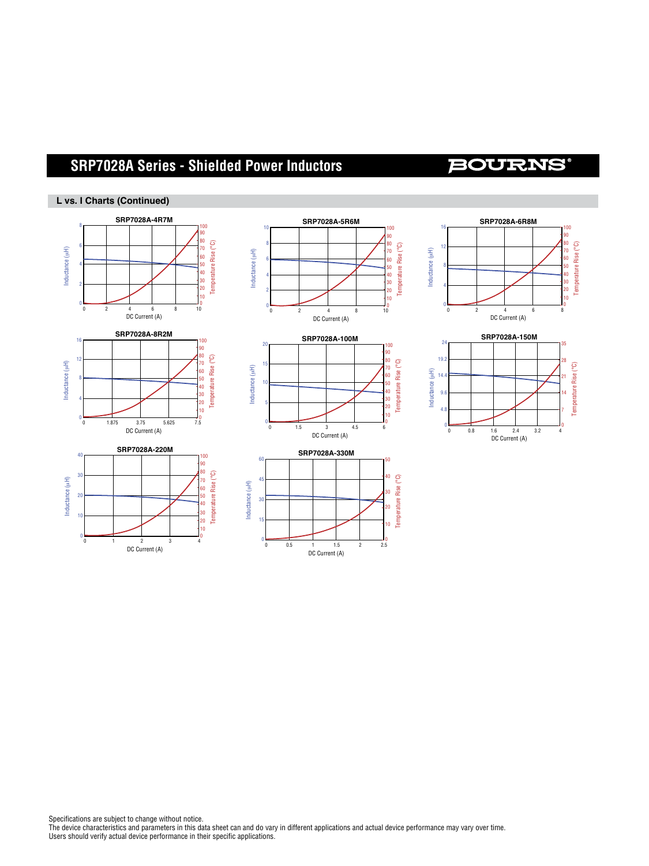### **SRF0504 SRP7028ASeries Seri - Shielded Line Filter Power Inductors** 1 30 20 50

### 40

Temperature Rise (°C)

3.0 Inductance (μH)

Temperature Rise (°C)

### L vs. I Charts (Continued)

Inductance (μH)





0 3.25 6.5 9.75 13







Specifications are subject to change without notice. The device characteristics and parameters in this data sheet can and do vary in different applications and actual device performance may vary over time. Users should verify actual device performance in their specific applications.

Temperature Rise (°C) າ<br>ເ